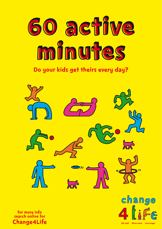

# Do your kids get theirs every day?



for more info search online for Change4Life



Eat well Move more Live longer